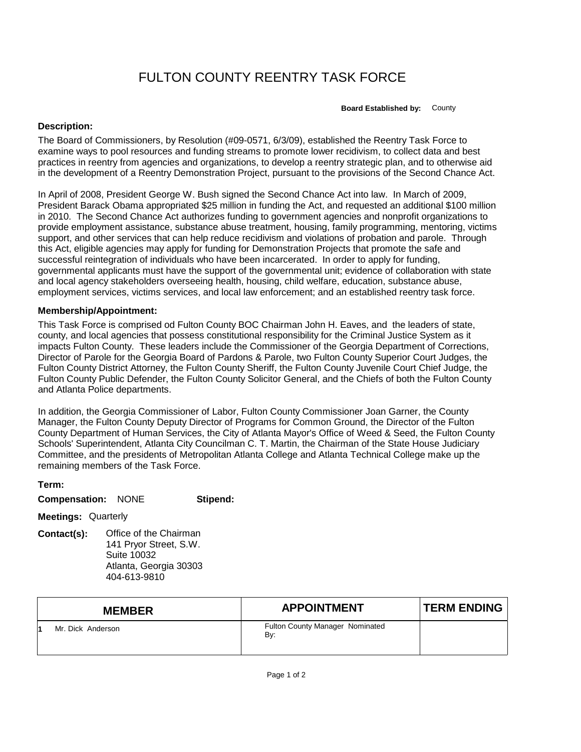## FULTON COUNTY REENTRY TASK FORCE

**Board Established by:** County

## **Description:**

The Board of Commissioners, by Resolution (#09-0571, 6/3/09), established the Reentry Task Force to examine ways to pool resources and funding streams to promote lower recidivism, to collect data and best practices in reentry from agencies and organizations, to develop a reentry strategic plan, and to otherwise aid in the development of a Reentry Demonstration Project, pursuant to the provisions of the Second Chance Act.

In April of 2008, President George W. Bush signed the Second Chance Act into law. In March of 2009, President Barack Obama appropriated \$25 million in funding the Act, and requested an additional \$100 million in 2010. The Second Chance Act authorizes funding to government agencies and nonprofit organizations to provide employment assistance, substance abuse treatment, housing, family programming, mentoring, victims support, and other services that can help reduce recidivism and violations of probation and parole. Through this Act, eligible agencies may apply for funding for Demonstration Projects that promote the safe and successful reintegration of individuals who have been incarcerated. In order to apply for funding, governmental applicants must have the support of the governmental unit; evidence of collaboration with state and local agency stakeholders overseeing health, housing, child welfare, education, substance abuse, employment services, victims services, and local law enforcement; and an established reentry task force.

## **Membership/Appointment:**

This Task Force is comprised od Fulton County BOC Chairman John H. Eaves, and the leaders of state, county, and local agencies that possess constitutional responsibility for the Criminal Justice System as it impacts Fulton County. These leaders include the Commissioner of the Georgia Department of Corrections, Director of Parole for the Georgia Board of Pardons & Parole, two Fulton County Superior Court Judges, the Fulton County District Attorney, the Fulton County Sheriff, the Fulton County Juvenile Court Chief Judge, the Fulton County Public Defender, the Fulton County Solicitor General, and the Chiefs of both the Fulton County and Atlanta Police departments.

In addition, the Georgia Commissioner of Labor, Fulton County Commissioner Joan Garner, the County Manager, the Fulton County Deputy Director of Programs for Common Ground, the Director of the Fulton County Department of Human Services, the City of Atlanta Mayor's Office of Weed & Seed, the Fulton County Schools' Superintendent, Atlanta City Councilman C. T. Martin, the Chairman of the State House Judiciary Committee, and the presidents of Metropolitan Atlanta College and Atlanta Technical College make up the remaining members of the Task Force.

**Term:**

**Compensation:** NONE **Stipend:**

**Meetings:** Quarterly

**Contact(s):** Office of the Chairman 141 Pryor Street, S.W. Suite 10032 Atlanta, Georgia 30303 404-613-9810

| <b>MEMBER</b>     | <b>APPOINTMENT</b>                            | <b>TERM ENDING</b> |
|-------------------|-----------------------------------------------|--------------------|
| Mr. Dick Anderson | <b>Fulton County Manager Nominated</b><br>By: |                    |